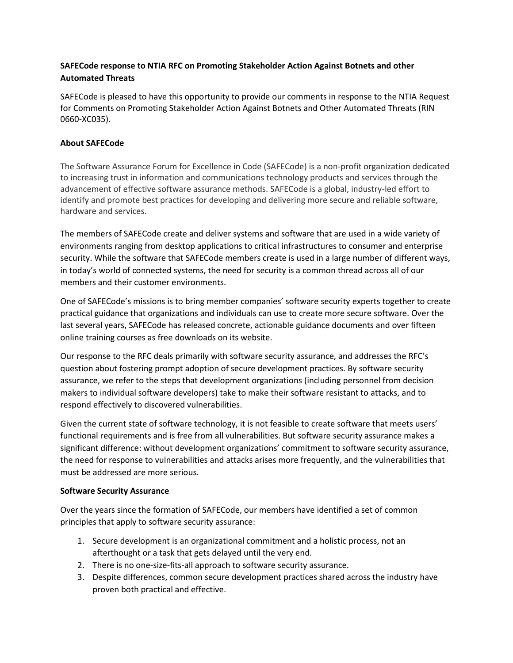# **SAFECode response to NTIA RFC on Promoting Stakeholder Action Against Botnets and other Automated Threats**

SAFECode is pleased to have this opportunity to provide our comments in response to the NTIA Request for Comments on Promoting Stakeholder Action Against Botnets and Other Automated Threats (RIN 0660-XC035).

### **About SAFECode**

The Software Assurance Forum for Excellence in Code (SAFECode) is a non-profit organization dedicated to increasing trust in information and communications technology products and services through the advancement of effective software assurance methods. SAFECode is a global, industry-led effort to identify and promote best practices for developing and delivering more secure and reliable software, hardware and services.

The members of SAFECode create and deliver systems and software that are used in a wide variety of environments ranging from desktop applications to critical infrastructures to consumer and enterprise security. While the software that SAFECode members create is used in a large number of different ways, in today's world of connected systems, the need for security is a common thread across all of our members and their customer environments.

One of SAFECode's missions is to bring member companies' software security experts together to create practical guidance that organizations and individuals can use to create more secure software. Over the last several years, SAFECode has released concrete, actionable guidance documents and over fifteen online training courses as free downloads on its website.

Our response to the RFC deals primarily with software security assurance, and addresses the RFC's question about fostering prompt adoption of secure development practices. By software security assurance, we refer to the steps that development organizations (including personnel from decision makers to individual software developers) take to make their software resistant to attacks, and to respond effectively to discovered vulnerabilities.

Given the current state of software technology, it is not feasible to create software that meets users' functional requirements and is free from all vulnerabilities. But software security assurance makes a significant difference: without development organizations' commitment to software security assurance, the need for response to vulnerabilities and attacks arises more frequently, and the vulnerabilities that must be addressed are more serious.

#### **Software Security Assurance**

Over the years since the formation of SAFECode, our members have identified a set of common principles that apply to software security assurance:

- 1. Secure development is an organizational commitment and a holistic process, not an afterthought or a task that gets delayed until the very end.
- 2. There is no one-size-fits-all approach to software security assurance.
- 3. Despite differences, common secure development practices shared across the industry have proven both practical and effective.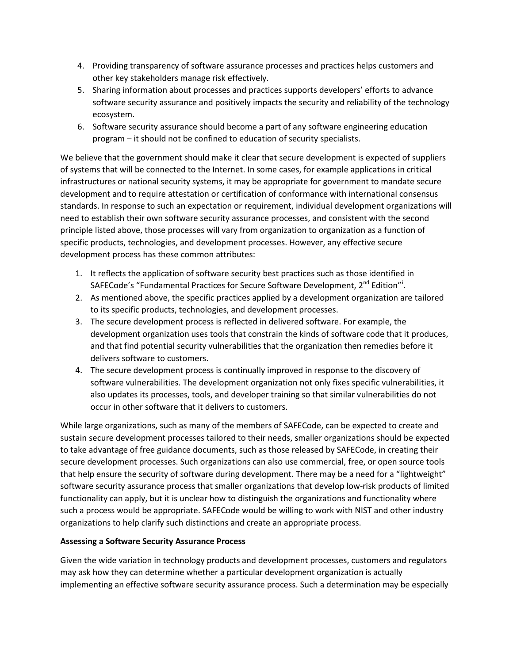- 4. Providing transparency of software assurance processes and practices helps customers and other key stakeholders manage risk effectively.
- 5. Sharing information about processes and practices supports developers' efforts to advance software security assurance and positively impacts the security and reliability of the technology ecosystem.
- 6. Software security assurance should become a part of any software engineering education program – it should not be confined to education of security specialists.

We believe that the government should make it clear that secure development is expected of suppliers of systems that will be connected to the Internet. In some cases, for example applications in critical infrastructures or national security systems, it may be appropriate for government to mandate secure development and to require attestation or certification of conformance with international consensus standards. In response to such an expectation or requirement, individual development organizations will need to establish their own software security assurance processes, and consistent with the second principle listed above, those processes will vary from organization to organization as a function of specific products, technologies, and development processes. However, any effective secure development process has these common attributes:

- 1. It reflects the application of software security best practices such as those identified in SAFECode's "Fundamental Pract[i](#page-3-0)ces for Secure Software Development, 2<sup>nd</sup> Edition"<sup>i</sup>.
- 2. As mentioned above, the specific practices applied by a development organization are tailored to its specific products, technologies, and development processes.
- 3. The secure development process is reflected in delivered software. For example, the development organization uses tools that constrain the kinds of software code that it produces, and that find potential security vulnerabilities that the organization then remedies before it delivers software to customers.
- 4. The secure development process is continually improved in response to the discovery of software vulnerabilities. The development organization not only fixes specific vulnerabilities, it also updates its processes, tools, and developer training so that similar vulnerabilities do not occur in other software that it delivers to customers.

While large organizations, such as many of the members of SAFECode, can be expected to create and sustain secure development processes tailored to their needs, smaller organizations should be expected to take advantage of free guidance documents, such as those released by SAFECode, in creating their secure development processes. Such organizations can also use commercial, free, or open source tools that help ensure the security of software during development. There may be a need for a "lightweight" software security assurance process that smaller organizations that develop low-risk products of limited functionality can apply, but it is unclear how to distinguish the organizations and functionality where such a process would be appropriate. SAFECode would be willing to work with NIST and other industry organizations to help clarify such distinctions and create an appropriate process.

# **Assessing a Software Security Assurance Process**

Given the wide variation in technology products and development processes, customers and regulators may ask how they can determine whether a particular development organization is actually implementing an effective software security assurance process. Such a determination may be especially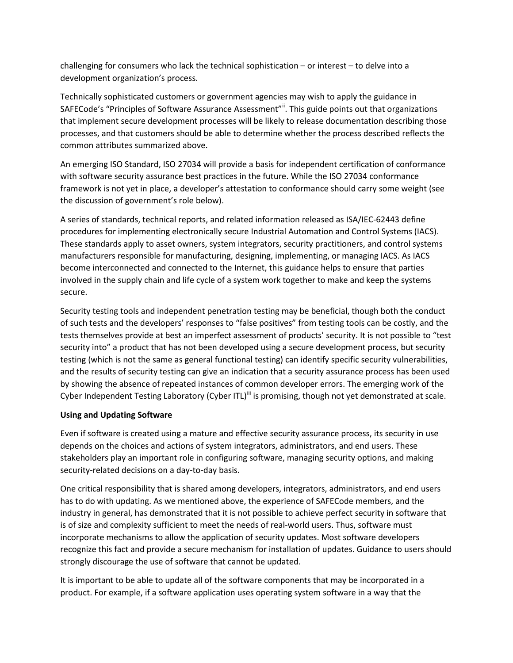challenging for consumers who lack the technical sophistication – or interest – to delve into a development organization's process.

Technically sophisticated customers or government agencies may wish to apply the guidance in SAFECode's "Principles of Software Assurance Assessment"<sup>"</sup>. This guide points out that organizations that implement secure development processes will be likely to release documentation describing those processes, and that customers should be able to determine whether the process described reflects the common attributes summarized above.

An emerging ISO Standard, ISO 27034 will provide a basis for independent certification of conformance with software security assurance best practices in the future. While the ISO 27034 conformance framework is not yet in place, a developer's attestation to conformance should carry some weight (see the discussion of government's role below).

A series of standards, technical reports, and related information released as ISA/IEC-62443 define procedures for implementing electronically secure Industrial Automation and Control Systems (IACS). These standards apply to asset owners, system integrators, security practitioners, and control systems manufacturers responsible for manufacturing, designing, implementing, or managing IACS. As IACS become interconnected and connected to the Internet, this guidance helps to ensure that parties involved in the supply chain and life cycle of a system work together to make and keep the systems secure.

Security testing tools and independent penetration testing may be beneficial, though both the conduct of such tests and the developers' responses to "false positives" from testing tools can be costly, and the tests themselves provide at best an imperfect assessment of products' security. It is not possible to "test security into" a product that has not been developed using a secure development process, but security testing (which is not the same as general functional testing) can identify specific security vulnerabilities, and the results of security testing can give an indication that a security assurance process has been used by showing the absence of repeated instances of common developer errors. The emerging work of the Cyber Independent Testing Laboratory (Cyber ITL)<sup>[iii](#page-3-2)</sup> is promising, though not yet demonstrated at scale.

#### **Using and Updating Software**

Even if software is created using a mature and effective security assurance process, its security in use depends on the choices and actions of system integrators, administrators, and end users. These stakeholders play an important role in configuring software, managing security options, and making security-related decisions on a day-to-day basis.

One critical responsibility that is shared among developers, integrators, administrators, and end users has to do with updating. As we mentioned above, the experience of SAFECode members, and the industry in general, has demonstrated that it is not possible to achieve perfect security in software that is of size and complexity sufficient to meet the needs of real-world users. Thus, software must incorporate mechanisms to allow the application of security updates. Most software developers recognize this fact and provide a secure mechanism for installation of updates. Guidance to users should strongly discourage the use of software that cannot be updated.

It is important to be able to update all of the software components that may be incorporated in a product. For example, if a software application uses operating system software in a way that the